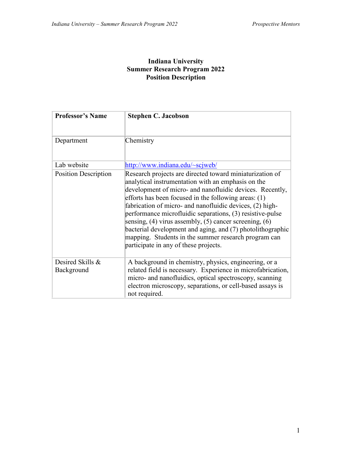#### **Indiana University Summer Research Program 2022 Position Description**

| <b>Professor's Name</b>        | <b>Stephen C. Jacobson</b>                                                                                                                                                                                                                                                                                                                                                                                                                                                                                                                                                                 |
|--------------------------------|--------------------------------------------------------------------------------------------------------------------------------------------------------------------------------------------------------------------------------------------------------------------------------------------------------------------------------------------------------------------------------------------------------------------------------------------------------------------------------------------------------------------------------------------------------------------------------------------|
| Department                     | Chemistry                                                                                                                                                                                                                                                                                                                                                                                                                                                                                                                                                                                  |
| Lab website                    | http://www.indiana.edu/~scjweb/                                                                                                                                                                                                                                                                                                                                                                                                                                                                                                                                                            |
| <b>Position Description</b>    | Research projects are directed toward miniaturization of<br>analytical instrumentation with an emphasis on the<br>development of micro- and nanofluidic devices. Recently,<br>efforts has been focused in the following areas: (1)<br>fabrication of micro- and nanofluidic devices, (2) high-<br>performance microfluidic separations, (3) resistive-pulse<br>sensing, $(4)$ virus assembly, $(5)$ cancer screening, $(6)$<br>bacterial development and aging, and (7) photolithographic<br>mapping. Students in the summer research program can<br>participate in any of these projects. |
| Desired Skills &<br>Background | A background in chemistry, physics, engineering, or a<br>related field is necessary. Experience in microfabrication,<br>micro- and nanofluidics, optical spectroscopy, scanning<br>electron microscopy, separations, or cell-based assays is<br>not required.                                                                                                                                                                                                                                                                                                                              |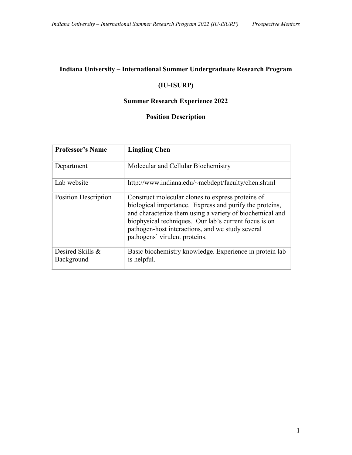## **(IU-ISURP)**

#### **Summer Research Experience 2022**

| <b>Professor's Name</b>        | <b>Lingling Chen</b>                                                                                                                                                                                                                                                                                                   |
|--------------------------------|------------------------------------------------------------------------------------------------------------------------------------------------------------------------------------------------------------------------------------------------------------------------------------------------------------------------|
| Department                     | Molecular and Cellular Biochemistry                                                                                                                                                                                                                                                                                    |
| Lab website                    | http://www.indiana.edu/~mcbdept/faculty/chen.shtml                                                                                                                                                                                                                                                                     |
| <b>Position Description</b>    | Construct molecular clones to express proteins of<br>biological importance. Express and purify the proteins,<br>and characterize them using a variety of biochemical and<br>biophysical techniques. Our lab's current focus is on<br>pathogen-host interactions, and we study several<br>pathogens' virulent proteins. |
| Desired Skills &<br>Background | Basic biochemistry knowledge. Experience in protein lab<br>is helpful.                                                                                                                                                                                                                                                 |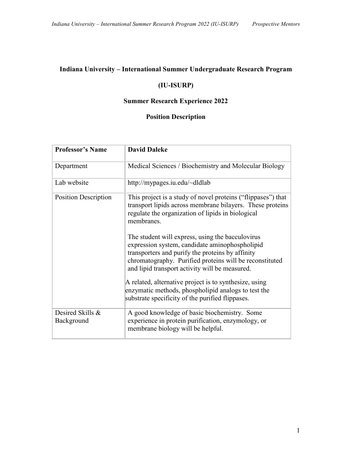### **(IU-ISURP)**

## **Summer Research Experience 2022**

| <b>Professor's Name</b>        | <b>David Daleke</b>                                                                                                                                                                                                                                                                                                                                                                                                                                                                                                                                                                  |
|--------------------------------|--------------------------------------------------------------------------------------------------------------------------------------------------------------------------------------------------------------------------------------------------------------------------------------------------------------------------------------------------------------------------------------------------------------------------------------------------------------------------------------------------------------------------------------------------------------------------------------|
| Department                     | Medical Sciences / Biochemistry and Molecular Biology                                                                                                                                                                                                                                                                                                                                                                                                                                                                                                                                |
| Lab website                    | http://mypages.iu.edu/~dldlab                                                                                                                                                                                                                                                                                                                                                                                                                                                                                                                                                        |
| <b>Position Description</b>    | This project is a study of novel proteins ("flippases") that<br>transport lipids across membrane bilayers. These proteins<br>regulate the organization of lipids in biological<br>membranes.<br>The student will express, using the bacculovirus<br>expression system, candidate aminophospholipid<br>transporters and purify the proteins by affinity<br>chromatography. Purified proteins will be reconstituted<br>and lipid transport activity will be measured.<br>A related, alternative project is to synthesize, using<br>enzymatic methods, phospholipid analogs to test the |
|                                | substrate specificity of the purified flippases.                                                                                                                                                                                                                                                                                                                                                                                                                                                                                                                                     |
| Desired Skills &<br>Background | A good knowledge of basic biochemistry. Some<br>experience in protein purification, enzymology, or<br>membrane biology will be helpful.                                                                                                                                                                                                                                                                                                                                                                                                                                              |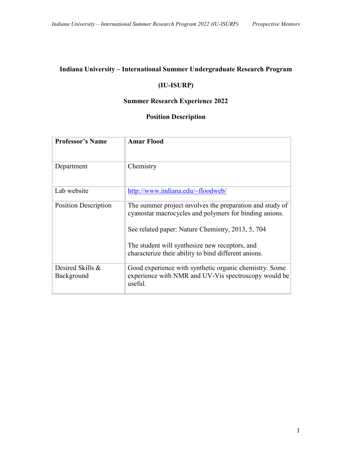### **(IU-ISURP)**

#### **Summer Research Experience 2022**

| <b>Professor's Name</b>        | <b>Amar Flood</b>                                                                                                         |
|--------------------------------|---------------------------------------------------------------------------------------------------------------------------|
| Department                     | Chemistry                                                                                                                 |
|                                |                                                                                                                           |
| Lab website                    | http://www.indiana.edu/~floodweb/                                                                                         |
| <b>Position Description</b>    | The summer project involves the preparation and study of<br>cyanostar macrocycles and polymers for binding anions.        |
|                                | See related paper: Nature Chemistry, 2013, 5, 704                                                                         |
|                                | The student will synthesize new receptors, and                                                                            |
|                                | characterize their ability to bind different anions.                                                                      |
| Desired Skills &<br>Background | Good experience with synthetic organic chemistry. Some<br>experience with NMR and UV-Vis spectroscopy would be<br>useful. |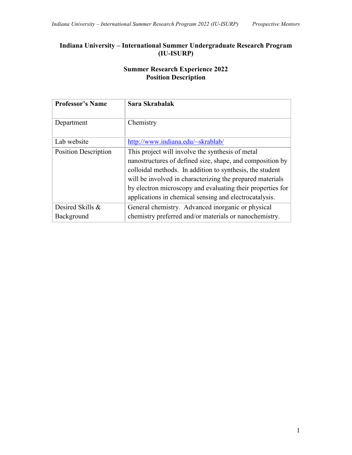## **Summer Research Experience 2022 Position Description**

| <b>Professor's Name</b>        | Sara Skrabalak                                                                                                                                                                                                                                                                                                                                                 |
|--------------------------------|----------------------------------------------------------------------------------------------------------------------------------------------------------------------------------------------------------------------------------------------------------------------------------------------------------------------------------------------------------------|
| Department                     | Chemistry                                                                                                                                                                                                                                                                                                                                                      |
| Lab website                    | http://www.indiana.edu/~skrablab/                                                                                                                                                                                                                                                                                                                              |
| <b>Position Description</b>    | This project will involve the synthesis of metal<br>nanostructures of defined size, shape, and composition by<br>colloidal methods. In addition to synthesis, the student<br>will be involved in characterizing the prepared materials<br>by electron microscopy and evaluating their properties for<br>applications in chemical sensing and electrocatalysis. |
| Desired Skills &<br>Background | General chemistry. Advanced inorganic or physical<br>chemistry preferred and/or materials or nanochemistry.                                                                                                                                                                                                                                                    |